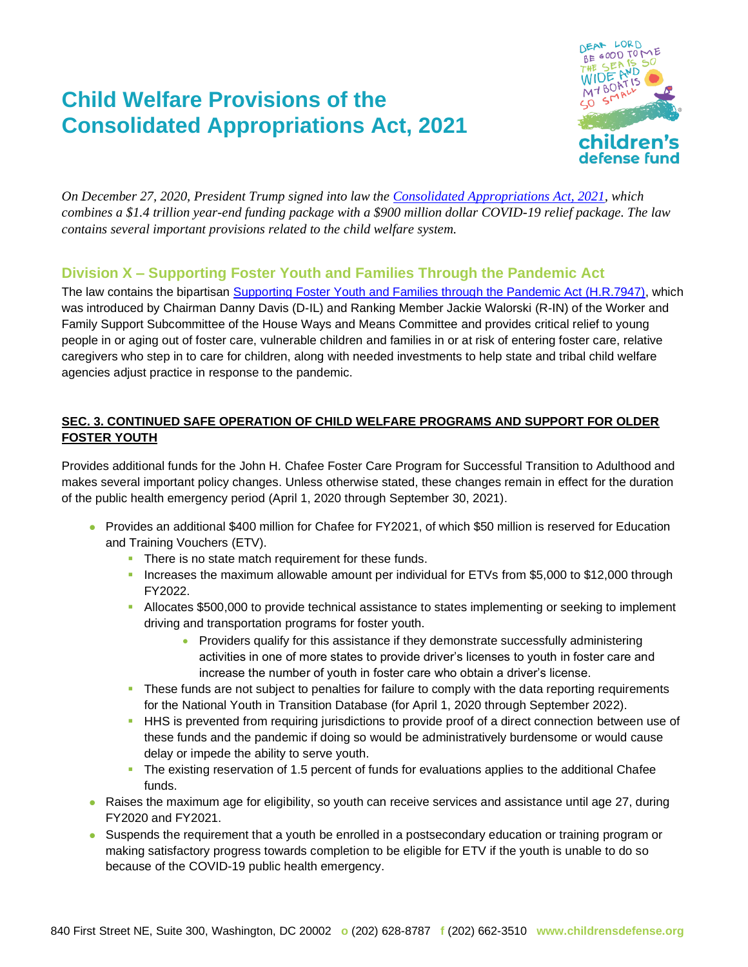# **Child Welfare Provisions of the Consolidated Appropriations Act, 2021**



*On December 27, 2020, President Trump signed into law the [Consolidated Appropriations Act, 2021,](https://rules.house.gov/sites/democrats.rules.house.gov/files/BILLS-116HR133SA-RCP-116-68.pdf) which combines a \$1.4 trillion year-end funding package with a \$900 million dollar COVID-19 relief package. The law contains several important provisions related to the child welfare system.* 

# **Division X – Supporting Foster Youth and Families Through the Pandemic Act**

The law contains the bipartisan [Supporting Foster Youth and Families through the Pandemic Act \(H.R.7947\),](https://waysandmeans.house.gov/sites/democrats.waysandmeans.house.gov/files/documents/DAVIIL_092_xml.pdf) which was introduced by Chairman Danny Davis (D-IL) and Ranking Member Jackie Walorski (R-IN) of the Worker and Family Support Subcommittee of the House Ways and Means Committee and provides critical relief to young people in or aging out of foster care, vulnerable children and families in or at risk of entering foster care, relative caregivers who step in to care for children, along with needed investments to help state and tribal child welfare agencies adjust practice in response to the pandemic.

#### **SEC. 3. CONTINUED SAFE OPERATION OF CHILD WELFARE PROGRAMS AND SUPPORT FOR OLDER FOSTER YOUTH**

Provides additional funds for the John H. Chafee Foster Care Program for Successful Transition to Adulthood and makes several important policy changes. Unless otherwise stated, these changes remain in effect for the duration of the public health emergency period (April 1, 2020 through September 30, 2021).

- ⚫ Provides an additional \$400 million for Chafee for FY2021, of which \$50 million is reserved for Education and Training Vouchers (ETV).
	- **There is no state match requirement for these funds.**
	- **·** Increases the maximum allowable amount per individual for ETVs from \$5,000 to \$12,000 through FY2022.
	- **EXED Allocates \$500,000 to provide technical assistance to states implementing or seeking to implement** driving and transportation programs for foster youth.
		- Providers qualify for this assistance if they demonstrate successfully administering activities in one of more states to provide driver's licenses to youth in foster care and increase the number of youth in foster care who obtain a driver's license.
	- **•** These funds are not subject to penalties for failure to comply with the data reporting requirements for the National Youth in Transition Database (for April 1, 2020 through September 2022).
	- **HHS** is prevented from requiring jurisdictions to provide proof of a direct connection between use of these funds and the pandemic if doing so would be administratively burdensome or would cause delay or impede the ability to serve youth.
	- **•** The existing reservation of 1.5 percent of funds for evaluations applies to the additional Chafee funds.
- Raises the maximum age for eligibility, so youth can receive services and assistance until age 27, during FY2020 and FY2021.
- Suspends the requirement that a youth be enrolled in a postsecondary education or training program or making satisfactory progress towards completion to be eligible for ETV if the youth is unable to do so because of the COVID-19 public health emergency.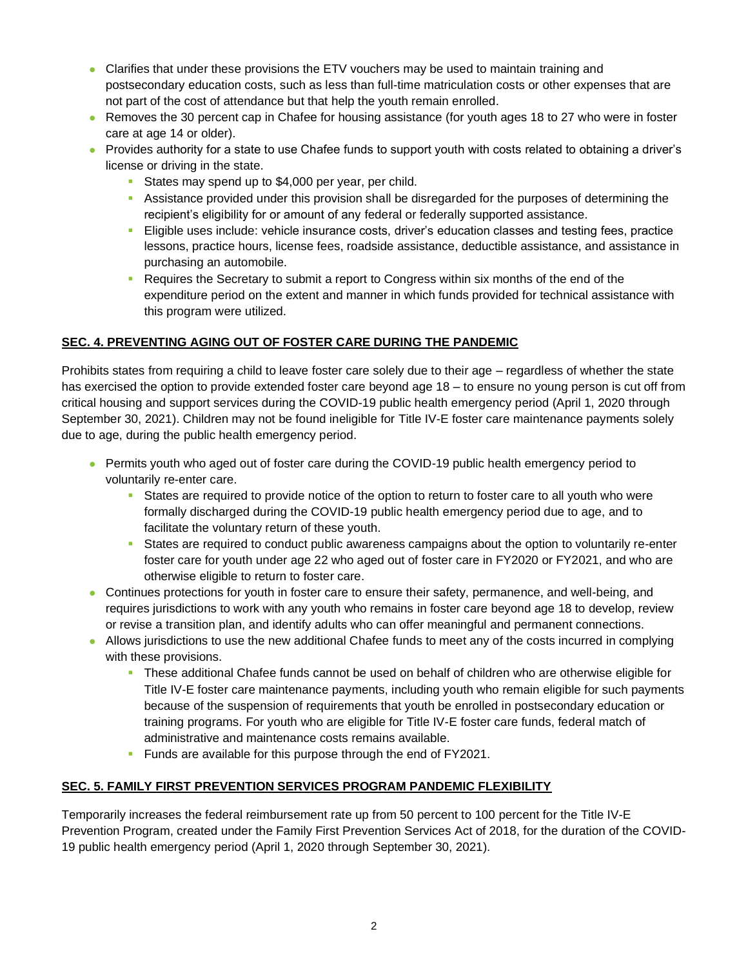- Clarifies that under these provisions the ETV vouchers may be used to maintain training and postsecondary education costs, such as less than full-time matriculation costs or other expenses that are not part of the cost of attendance but that help the youth remain enrolled.
- Removes the 30 percent cap in Chafee for housing assistance (for youth ages 18 to 27 who were in foster care at age 14 or older).
- Provides authority for a state to use Chafee funds to support youth with costs related to obtaining a driver's license or driving in the state.
	- **EXEC** States may spend up to \$4,000 per year, per child.
	- **EXECT** Assistance provided under this provision shall be disregarded for the purposes of determining the recipient's eligibility for or amount of any federal or federally supported assistance.
	- Eligible uses include: vehicle insurance costs, driver's education classes and testing fees, practice lessons, practice hours, license fees, roadside assistance, deductible assistance, and assistance in purchasing an automobile.
	- **Requires the Secretary to submit a report to Congress within six months of the end of the** expenditure period on the extent and manner in which funds provided for technical assistance with this program were utilized.

#### **SEC. 4. PREVENTING AGING OUT OF FOSTER CARE DURING THE PANDEMIC**

Prohibits states from requiring a child to leave foster care solely due to their age – regardless of whether the state has exercised the option to provide extended foster care beyond age 18 – to ensure no young person is cut off from critical housing and support services during the COVID-19 public health emergency period (April 1, 2020 through September 30, 2021). Children may not be found ineligible for Title IV-E foster care maintenance payments solely due to age, during the public health emergency period.

- Permits youth who aged out of foster care during the COVID-19 public health emergency period to voluntarily re-enter care.
	- **EXECT** States are required to provide notice of the option to return to foster care to all youth who were formally discharged during the COVID-19 public health emergency period due to age, and to facilitate the voluntary return of these youth.
	- **EXECT** States are required to conduct public awareness campaigns about the option to voluntarily re-enter foster care for youth under age 22 who aged out of foster care in FY2020 or FY2021, and who are otherwise eligible to return to foster care.
- ⚫ Continues protections for youth in foster care to ensure their safety, permanence, and well-being, and requires jurisdictions to work with any youth who remains in foster care beyond age 18 to develop, review or revise a transition plan, and identify adults who can offer meaningful and permanent connections.
- Allows jurisdictions to use the new additional Chafee funds to meet any of the costs incurred in complying with these provisions.
	- **.** These additional Chafee funds cannot be used on behalf of children who are otherwise eligible for Title IV-E foster care maintenance payments, including youth who remain eligible for such payments because of the suspension of requirements that youth be enrolled in postsecondary education or training programs. For youth who are eligible for Title IV-E foster care funds, federal match of administrative and maintenance costs remains available.
	- **EXECT:** Funds are available for this purpose through the end of FY2021.

#### **SEC. 5. FAMILY FIRST PREVENTION SERVICES PROGRAM PANDEMIC FLEXIBILITY**

Temporarily increases the federal reimbursement rate up from 50 percent to 100 percent for the Title IV-E Prevention Program, created under the Family First Prevention Services Act of 2018, for the duration of the COVID-19 public health emergency period (April 1, 2020 through September 30, 2021).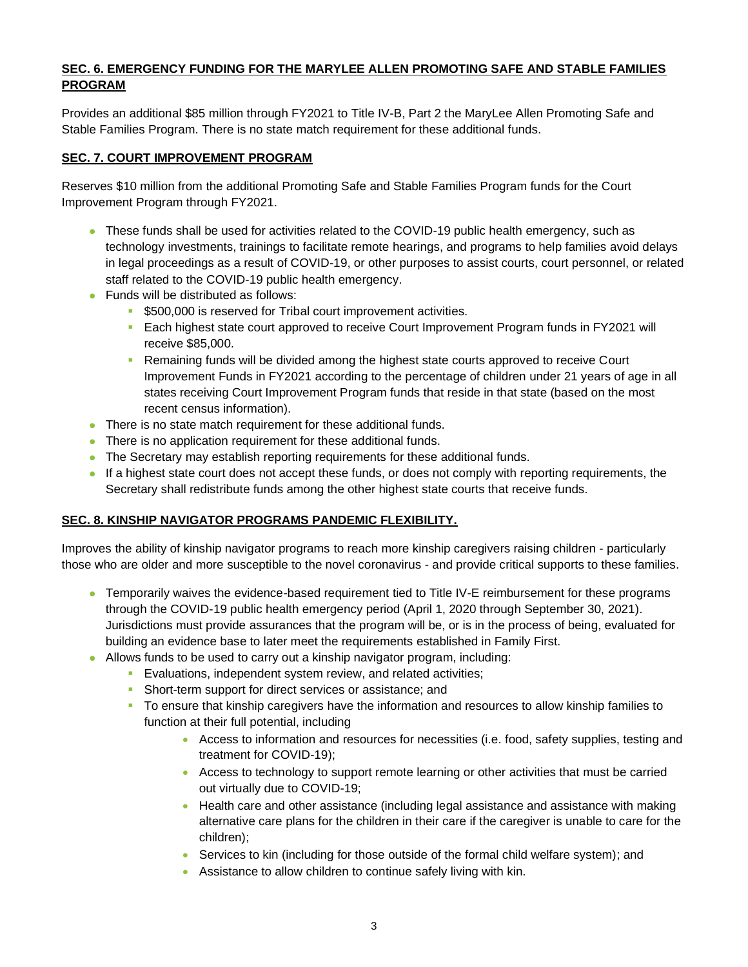#### **SEC. 6. EMERGENCY FUNDING FOR THE MARYLEE ALLEN PROMOTING SAFE AND STABLE FAMILIES PROGRAM**

Provides an additional \$85 million through FY2021 to Title IV-B, Part 2 the MaryLee Allen Promoting Safe and Stable Families Program. There is no state match requirement for these additional funds.

#### **SEC. 7. COURT IMPROVEMENT PROGRAM**

Reserves \$10 million from the additional Promoting Safe and Stable Families Program funds for the Court Improvement Program through FY2021.

- These funds shall be used for activities related to the COVID-19 public health emergency, such as technology investments, trainings to facilitate remote hearings, and programs to help families avoid delays in legal proceedings as a result of COVID-19, or other purposes to assist courts, court personnel, or related staff related to the COVID-19 public health emergency.
- ⚫ Funds will be distributed as follows:
	- **\$500,000 is reserved for Tribal court improvement activities.**
	- Each highest state court approved to receive Court Improvement Program funds in FY2021 will receive \$85,000.
	- **Remaining funds will be divided among the highest state courts approved to receive Court** Improvement Funds in FY2021 according to the percentage of children under 21 years of age in all states receiving Court Improvement Program funds that reside in that state (based on the most recent census information).
- There is no state match requirement for these additional funds.
- There is no application requirement for these additional funds.
- The Secretary may establish reporting requirements for these additional funds.
- ⚫ If a highest state court does not accept these funds, or does not comply with reporting requirements, the Secretary shall redistribute funds among the other highest state courts that receive funds.

#### **SEC. 8. KINSHIP NAVIGATOR PROGRAMS PANDEMIC FLEXIBILITY.**

Improves the ability of kinship navigator programs to reach more kinship caregivers raising children - particularly those who are older and more susceptible to the novel coronavirus - and provide critical supports to these families.

- Temporarily waives the evidence-based requirement tied to Title IV-E reimbursement for these programs through the COVID-19 public health emergency period (April 1, 2020 through September 30, 2021). Jurisdictions must provide assurances that the program will be, or is in the process of being, evaluated for building an evidence base to later meet the requirements established in Family First.
- Allows funds to be used to carry out a kinship navigator program, including:
	- **Evaluations, independent system review, and related activities;**
	- **Short-term support for direct services or assistance; and**
	- **•** To ensure that kinship caregivers have the information and resources to allow kinship families to function at their full potential, including
		- Access to information and resources for necessities (i.e. food, safety supplies, testing and treatment for COVID-19);
		- Access to technology to support remote learning or other activities that must be carried out virtually due to COVID-19;
		- Health care and other assistance (including legal assistance and assistance with making alternative care plans for the children in their care if the caregiver is unable to care for the children);
		- Services to kin (including for those outside of the formal child welfare system); and
		- Assistance to allow children to continue safely living with kin.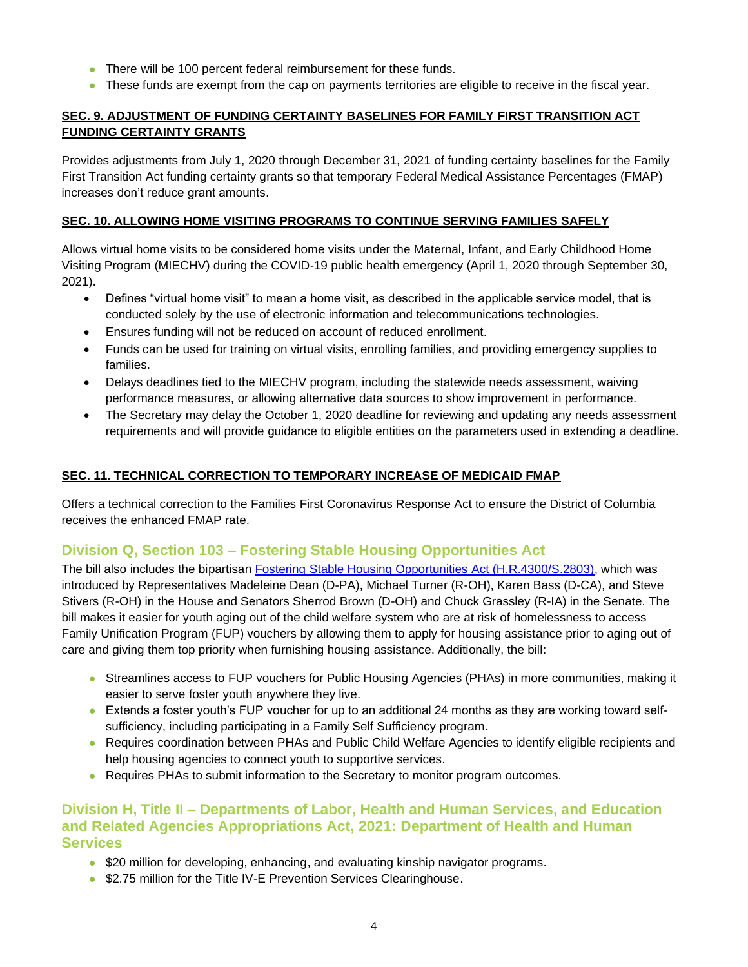- There will be 100 percent federal reimbursement for these funds.
- ⚫ These funds are exempt from the cap on payments territories are eligible to receive in the fiscal year.

#### **SEC. 9. ADJUSTMENT OF FUNDING CERTAINTY BASELINES FOR FAMILY FIRST TRANSITION ACT FUNDING CERTAINTY GRANTS**

Provides adjustments from July 1, 2020 through December 31, 2021 of funding certainty baselines for the Family First Transition Act funding certainty grants so that temporary Federal Medical Assistance Percentages (FMAP) increases don't reduce grant amounts.

#### **SEC. 10. ALLOWING HOME VISITING PROGRAMS TO CONTINUE SERVING FAMILIES SAFELY**

Allows virtual home visits to be considered home visits under the Maternal, Infant, and Early Childhood Home Visiting Program (MIECHV) during the COVID-19 public health emergency (April 1, 2020 through September 30, 2021).

- Defines "virtual home visit" to mean a home visit, as described in the applicable service model, that is conducted solely by the use of electronic information and telecommunications technologies.
- Ensures funding will not be reduced on account of reduced enrollment.
- Funds can be used for training on virtual visits, enrolling families, and providing emergency supplies to families.
- Delays deadlines tied to the MIECHV program, including the statewide needs assessment, waiving performance measures, or allowing alternative data sources to show improvement in performance.
- The Secretary may delay the October 1, 2020 deadline for reviewing and updating any needs assessment requirements and will provide guidance to eligible entities on the parameters used in extending a deadline.

#### **SEC. 11. TECHNICAL CORRECTION TO TEMPORARY INCREASE OF MEDICAID FMAP**

Offers a technical correction to the Families First Coronavirus Response Act to ensure the District of Columbia receives the enhanced FMAP rate.

## **Division Q, Section 103 – Fostering Stable Housing Opportunities Act**

The bill also includes the bipartisan [Fostering Stable Housing Opportunities Act \(H.R.4300/S.2803\),](https://www.congress.gov/bill/116th-congress/house-bill/4300?q=%7B%22search%22%3A%5B%22fostering+stable+housing%22%5D%7D&s=2&r=2) which was introduced by Representatives Madeleine Dean (D-PA), Michael Turner (R-OH), Karen Bass (D-CA), and Steve Stivers (R-OH) in the House and Senators Sherrod Brown (D-OH) and Chuck Grassley (R-IA) in the Senate. The bill makes it easier for youth aging out of the child welfare system who are at risk of homelessness to access Family Unification Program (FUP) vouchers by allowing them to apply for housing assistance prior to aging out of care and giving them top priority when furnishing housing assistance. Additionally, the bill:

- ⚫ Streamlines access to FUP vouchers for Public Housing Agencies (PHAs) in more communities, making it easier to serve foster youth anywhere they live.
- Extends a foster youth's FUP voucher for up to an additional 24 months as they are working toward selfsufficiency, including participating in a Family Self Sufficiency program.
- Requires coordination between PHAs and Public Child Welfare Agencies to identify eligible recipients and help housing agencies to connect youth to supportive services.
- Requires PHAs to submit information to the Secretary to monitor program outcomes.

### **Division H, Title II – Departments of Labor, Health and Human Services, and Education and Related Agencies Appropriations Act, 2021: Department of Health and Human Services**

- ⚫ \$20 million for developing, enhancing, and evaluating kinship navigator programs.
- \$2.75 million for the Title IV-E Prevention Services Clearinghouse.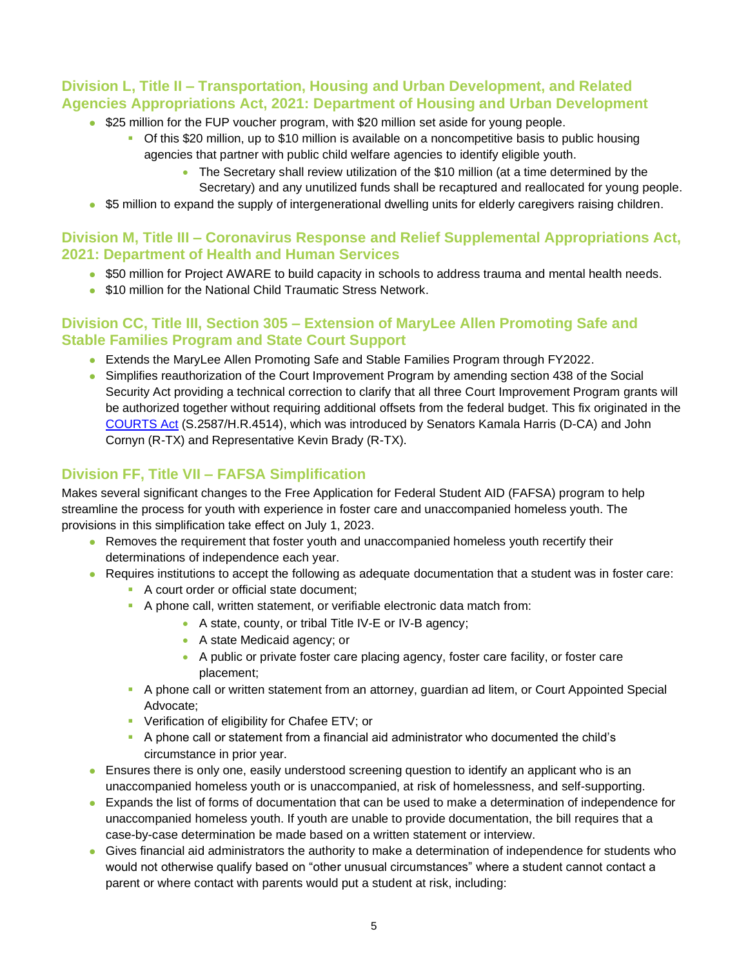## **Division L, Title II – Transportation, Housing and Urban Development, and Related Agencies Appropriations Act, 2021: Department of Housing and Urban Development**

- \$25 million for the FUP voucher program, with \$20 million set aside for young people.
	- Of this \$20 million, up to \$10 million is available on a noncompetitive basis to public housing agencies that partner with public child welfare agencies to identify eligible youth.
		- The Secretary shall review utilization of the \$10 million (at a time determined by the Secretary) and any unutilized funds shall be recaptured and reallocated for young people.
- \$5 million to expand the supply of intergenerational dwelling units for elderly caregivers raising children.

## **Division M, Title III – Coronavirus Response and Relief Supplemental Appropriations Act, 2021: Department of Health and Human Services**

- \$50 million for Project AWARE to build capacity in schools to address trauma and mental health needs.
- \$10 million for the National Child Traumatic Stress Network.

## **Division CC, Title III, Section 305 – Extension of MaryLee Allen Promoting Safe and Stable Families Program and State Court Support**

- Extends the MaryLee Allen Promoting Safe and Stable Families Program through FY2022.
- ⚫ Simplifies reauthorization of the Court Improvement Program by amending section 438 of the Social Security Act providing a technical correction to clarify that all three Court Improvement Program grants will be authorized together without requiring additional offsets from the federal budget. This fix originated in the [COURTS Act](https://www.congress.gov/bill/116th-congress/senate-bill/2587?q=%7B%22search%22%3A%5B%22cornyn+harris%22%5D%7D&r=10&s=6) (S.2587/H.R.4514), which was introduced by Senators Kamala Harris (D-CA) and John Cornyn (R-TX) and Representative Kevin Brady (R-TX).

# **Division FF, Title VII – FAFSA Simplification**

Makes several significant changes to the Free Application for Federal Student AID (FAFSA) program to help streamline the process for youth with experience in foster care and unaccompanied homeless youth. The provisions in this simplification take effect on July 1, 2023.

- Removes the requirement that foster youth and unaccompanied homeless youth recertify their determinations of independence each year.
- Requires institutions to accept the following as adequate documentation that a student was in foster care:
	- A court order or official state document;
	- A phone call, written statement, or verifiable electronic data match from:
		- A state, county, or tribal Title IV-E or IV-B agency;
		- A state Medicaid agency; or
		- A public or private foster care placing agency, foster care facility, or foster care placement;
	- **A phone call or written statement from an attorney, guardian ad litem, or Court Appointed Special** Advocate;
	- **Verification of eligibility for Chafee ETV; or**
	- A phone call or statement from a financial aid administrator who documented the child's circumstance in prior year.
- Ensures there is only one, easily understood screening question to identify an applicant who is an unaccompanied homeless youth or is unaccompanied, at risk of homelessness, and self-supporting.
- Expands the list of forms of documentation that can be used to make a determination of independence for unaccompanied homeless youth. If youth are unable to provide documentation, the bill requires that a case-by-case determination be made based on a written statement or interview.
- ⚫ Gives financial aid administrators the authority to make a determination of independence for students who would not otherwise qualify based on "other unusual circumstances" where a student cannot contact a parent or where contact with parents would put a student at risk, including: